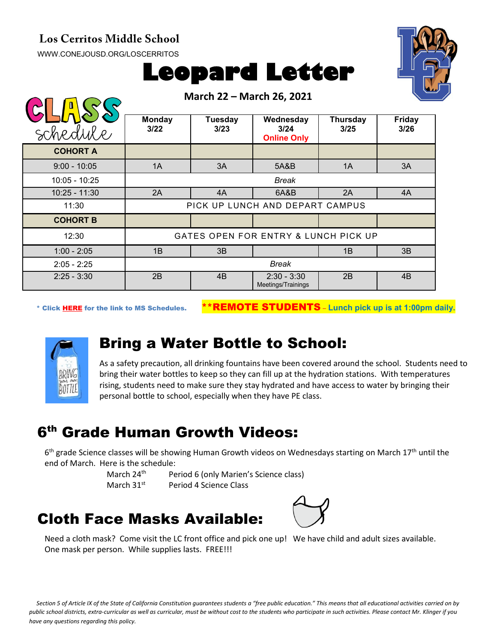#### **Los Cerritos Middle School**

[WWW.CONEJOUSD.ORG/LOSCERRITOS](http://www.conejousd.org/LOSCERRITOS)



| <b>Leopard Letter</b> |  |
|-----------------------|--|
|-----------------------|--|

|                 | March 22 - March 26, 2021            |                 |                                         |                  |                       |  |
|-----------------|--------------------------------------|-----------------|-----------------------------------------|------------------|-----------------------|--|
| schedule        | <b>Monday</b><br>3/22                | Tuesday<br>3/23 | Wednesday<br>3/24<br><b>Online Only</b> | Thursday<br>3/25 | <b>Friday</b><br>3/26 |  |
| <b>COHORT A</b> |                                      |                 |                                         |                  |                       |  |
| $9:00 - 10:05$  | 1A                                   | 3A              | 5A&B                                    | 1A               | 3A                    |  |
| 10:05 - 10:25   | <b>Break</b>                         |                 |                                         |                  |                       |  |
| $10:25 - 11:30$ | 2A                                   | 4A              | 6A&B                                    | 2A               | 4A                    |  |
| 11:30           | PICK UP LUNCH AND DEPART CAMPUS      |                 |                                         |                  |                       |  |
| <b>COHORT B</b> |                                      |                 |                                         |                  |                       |  |
| 12:30           | GATES OPEN FOR ENTRY & LUNCH PICK UP |                 |                                         |                  |                       |  |
| $1:00 - 2:05$   | 1B                                   | 3B              |                                         | 1B               | 3B                    |  |
| $2:05 - 2:25$   | Break                                |                 |                                         |                  |                       |  |
| $2:25 - 3:30$   | 2B                                   | 4B              | $2:30 - 3:30$<br>Meetings/Trainings     | 2B               | 4B                    |  |

\* Click [HERE](https://www.conejousd.org/Portals/0/Middle%20School%20Monthly%20Calendar%20_FNLl.pdf?ver=2020-11-04-105638-860) for the link to MS Schedules. \*\*REMOTE STUDENTS – **Lunch pick up is at 1:00pm daily.**



#### Bring a Water Bottle to School:

As a safety precaution, all drinking fountains have been covered around the school. Students need to bring their water bottles to keep so they can fill up at the hydration stations. With temperatures rising, students need to make sure they stay hydrated and have access to water by bringing their personal bottle to school, especially when they have PE class.

# 6th Grade Human Growth Videos:

 $6<sup>th</sup>$  grade Science classes will be showing Human Growth videos on Wednesdays starting on March 17<sup>th</sup> until the end of March. Here is the schedule:

March 24<sup>th</sup> Period 6 (only Marien's Science class) March 31<sup>st</sup> Period 4 Science Class

# Cloth Face Masks Available:



Need a cloth mask? Come visit the LC front office and pick one up! We have child and adult sizes available. One mask per person. While supplies lasts. FREE!!!

*Section 5 of Article IX of the State of California Constitution guarantees students a "free public education." This means that all educational activities carried on by public school districts, extra-curricular as well as curricular, must be without cost to the students who participate in such activities. Please contact Mr. Klinger if you have any questions regarding this policy.*